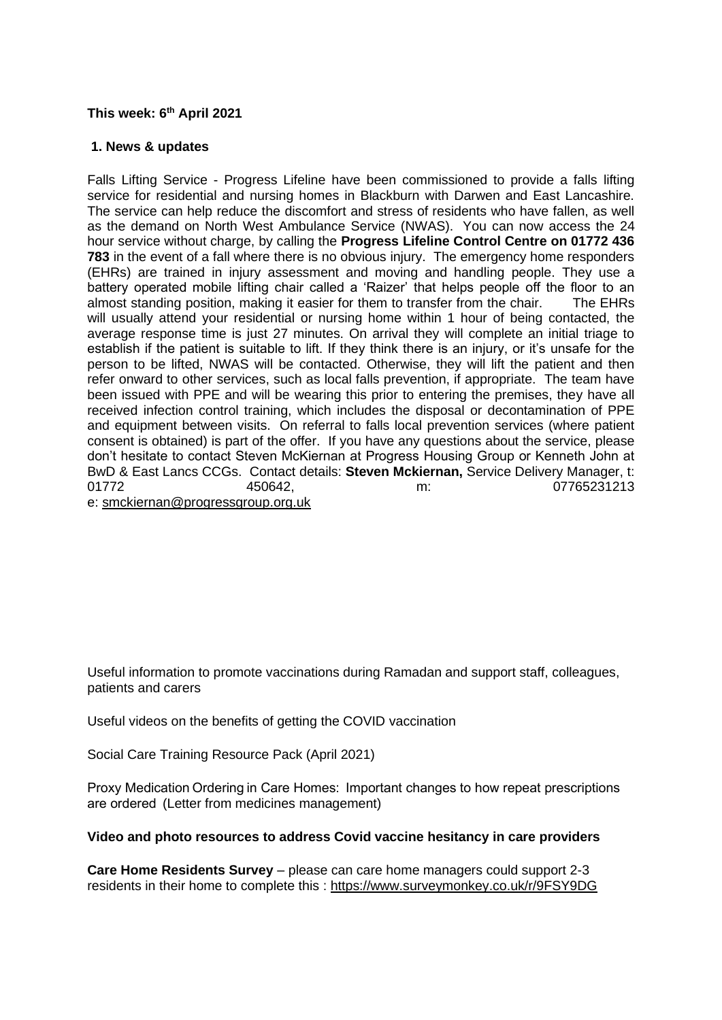#### **This week: 6 th April 2021**

#### **1. News & updates**

Falls Lifting Service - Progress Lifeline have been commissioned to provide a falls lifting service for residential and nursing homes in Blackburn with Darwen and East Lancashire. The service can help reduce the discomfort and stress of residents who have fallen, as well as the demand on North West Ambulance Service (NWAS). You can now access the 24 hour service without charge, by calling the **Progress Lifeline Control Centre on 01772 436 783** in the event of a fall where there is no obvious injury. The emergency home responders (EHRs) are trained in injury assessment and moving and handling people. They use a battery operated mobile lifting chair called a 'Raizer' that helps people off the floor to an almost standing position, making it easier for them to transfer from the chair. The EHRs will usually attend your residential or nursing home within 1 hour of being contacted, the average response time is just 27 minutes. On arrival they will complete an initial triage to establish if the patient is suitable to lift. If they think there is an injury, or it's unsafe for the person to be lifted, NWAS will be contacted. Otherwise, they will lift the patient and then refer onward to other services, such as local falls prevention, if appropriate. The team have been issued with PPE and will be wearing this prior to entering the premises, they have all received infection control training, which includes the disposal or decontamination of PPE and equipment between visits. On referral to falls local prevention services (where patient consent is obtained) is part of the offer. If you have any questions about the service, please don't hesitate to contact Steven McKiernan at Progress Housing Group or Kenneth John at BwD & East Lancs CCGs. Contact details: **Steven Mckiernan,** Service Delivery Manager, t: 01772 450642, m: 07765231213

e: [smckiernan@progressgroup.org.uk](mailto:smckiernan@progressgroup.org.uk)

Useful information to promote vaccinations during Ramadan and support staff, colleagues, patients and carers

Useful videos on the benefits of getting the COVID vaccination

Social Care Training Resource Pack (April 2021)

Proxy Medication Ordering in Care Homes:  Important changes to how repeat prescriptions are ordered  (Letter from medicines management)

#### **[Video and photo resources to address Covid vaccine hesitancy in care providers](https://eastlancsccg.nhs.uk/images/Covid_vaccine_for_care_home_residents_and_staff_V6.pdf)**

**Care Home Residents Survey** – please can care home managers could support 2-3 residents in their home to complete this : <https://www.surveymonkey.co.uk/r/9FSY9DG>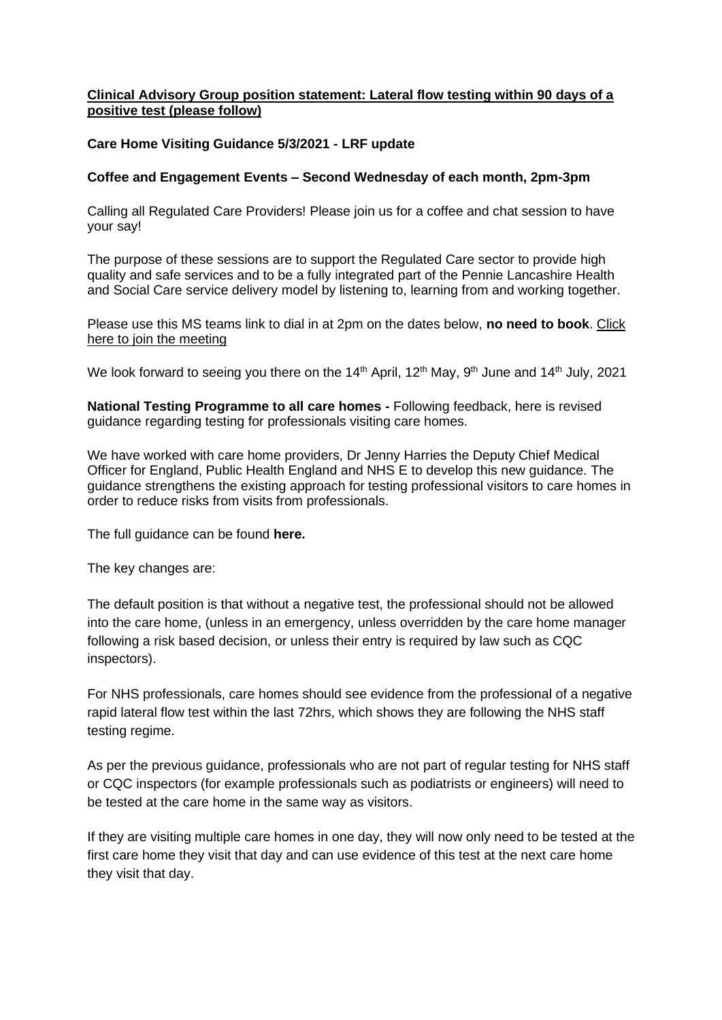# **[Clinical Advisory Group position statement: Lateral flow testing within 90 days of a](https://eastlancsccg.nhs.uk/images/Clinical_Advisory_Group_position_statement.docx)  [positive test](https://eastlancsccg.nhs.uk/images/Clinical_Advisory_Group_position_statement.docx) (please follow)**

#### **[Care Home Visiting Guidance 5/3/2021 -](https://eastlancsccg.nhs.uk/images/RegulatedCareSector/05.03.2021_-_Care_Home_Visiting_Policy_Update.pdf.docx) LRF update**

#### **Coffee and Engagement Events – Second Wednesday of each month, 2pm-3pm**

Calling all Regulated Care Providers! Please join us for a coffee and chat session to have your say!

The purpose of these sessions are to support the Regulated Care sector to provide high quality and safe services and to be a fully integrated part of the Pennie Lancashire Health and Social Care service delivery model by listening to, learning from and working together.

Please use this MS teams link to dial in at 2pm on the dates below, **no need to book**. [Click](https://teams.microsoft.com/l/meetup-join/19%3ameeting_NjkxOTI3M2MtMzdlNC00MDliLWFhMjgtZmZiZjMzZGI5OTkw%40thread.v2/0?context=%7b%22Tid%22%3a%2237c354b2-85b0-47f5-b222-07b48d774ee3%22%2c%22Oid%22%3a%22a2ec35af-1c40-4f8f-8903-a088b26ed2a2%22%7d)  [here to join the meeting](https://teams.microsoft.com/l/meetup-join/19%3ameeting_NjkxOTI3M2MtMzdlNC00MDliLWFhMjgtZmZiZjMzZGI5OTkw%40thread.v2/0?context=%7b%22Tid%22%3a%2237c354b2-85b0-47f5-b222-07b48d774ee3%22%2c%22Oid%22%3a%22a2ec35af-1c40-4f8f-8903-a088b26ed2a2%22%7d)

We look forward to seeing you there on the 14<sup>th</sup> April, 12<sup>th</sup> May, 9<sup>th</sup> June and 14<sup>th</sup> July, 2021

**National Testing Programme to all care homes -** Following feedback, here is revised guidance regarding testing for professionals visiting care homes.

We have worked with care home providers, Dr Jenny Harries the Deputy Chief Medical Officer for England, Public Health England and NHS E to develop this new guidance. The guidance strengthens the existing approach for testing professional visitors to care homes in order to reduce risks from visits from professionals.

The full guidance can be found **[here.](https://www.gov.uk/government/publications/coronavirus-covid-19-lateral-flow-testing-in-adult-social-care-settings/testing-for-professionals-visiting-care-homes)**

The key changes are:

The default position is that without a negative test, the professional should not be allowed into the care home, (unless in an emergency, unless overridden by the care home manager following a risk based decision, or unless their entry is required by law such as CQC inspectors).

For NHS professionals, care homes should see evidence from the professional of a negative rapid lateral flow test within the last 72hrs, which shows they are following the NHS staff testing regime.

As per the previous guidance, professionals who are not part of regular testing for NHS staff or CQC inspectors (for example professionals such as podiatrists or engineers) will need to be tested at the care home in the same way as visitors.

If they are visiting multiple care homes in one day, they will now only need to be tested at the first care home they visit that day and can use evidence of this test at the next care home they visit that day.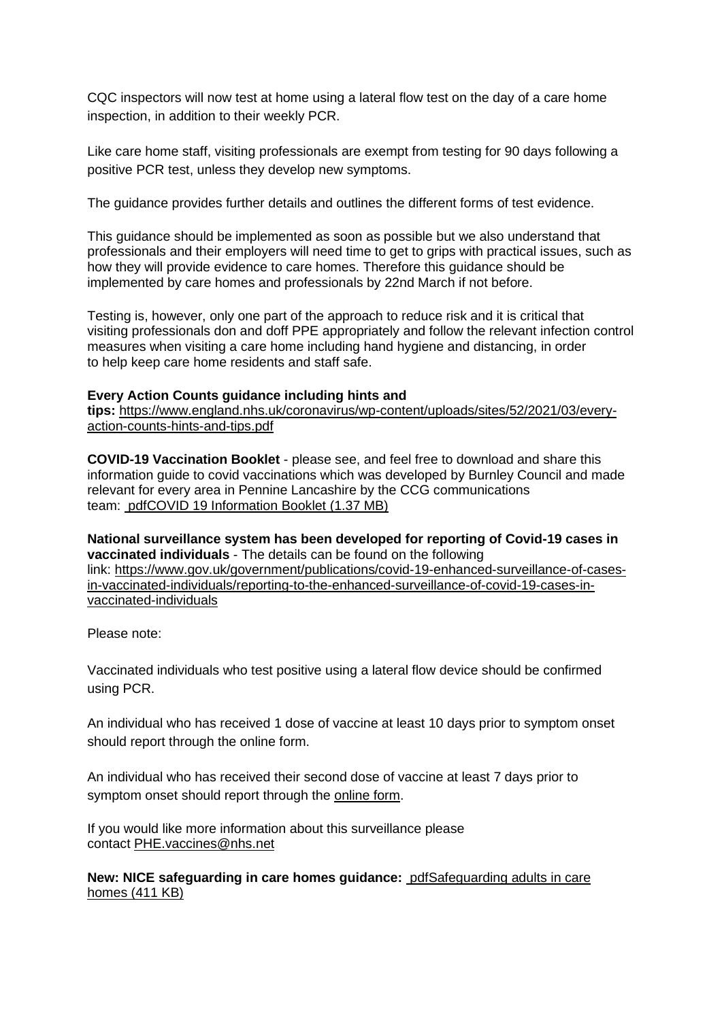CQC inspectors will now test at home using a lateral flow test on the day of a care home inspection, in addition to their weekly PCR.

Like care home staff, visiting professionals are exempt from testing for 90 days following a positive PCR test, unless they develop new symptoms.

The guidance provides further details and outlines the different forms of test evidence.

This guidance should be implemented as soon as possible but we also understand that professionals and their employers will need time to get to grips with practical issues, such as how they will provide evidence to care homes. Therefore this guidance should be implemented by care homes and professionals by 22nd March if not before.

Testing is, however, only one part of the approach to reduce risk and it is critical that visiting professionals don and doff PPE appropriately and follow the relevant infection control measures when visiting a care home including hand hygiene and distancing, in order to help keep care home residents and staff safe.

#### **Every Action Counts guidance including hints and**

**tips:** [https://www.england.nhs.uk/coronavirus/wp-content/uploads/sites/52/2021/03/every](https://www.england.nhs.uk/coronavirus/wp-content/uploads/sites/52/2021/03/every-action-counts-hints-and-tips.pdf)[action-counts-hints-and-tips.pdf](https://www.england.nhs.uk/coronavirus/wp-content/uploads/sites/52/2021/03/every-action-counts-hints-and-tips.pdf)

**COVID-19 Vaccination Booklet** - please see, and feel free to download and share this information guide to covid vaccinations which was developed by Burnley Council and made relevant for every area in Pennine Lancashire by the CCG communications team: [pdfCOVID 19 Information Booklet](https://eastlancsccg.nhs.uk/about-us/publications/2793-covid-19-information-booklet-2) (1.37 MB)

**National surveillance system has been developed for reporting of Covid-19 cases in vaccinated individuals** - The details can be found on the following link: [https://www.gov.uk/government/publications/covid-19-enhanced-surveillance-of-cases](https://www.gov.uk/government/publications/covid-19-enhanced-surveillance-of-cases-in-vaccinated-individuals/reporting-to-the-enhanced-surveillance-of-covid-19-cases-in-vaccinated-individuals)[in-vaccinated-individuals/reporting-to-the-enhanced-surveillance-of-covid-19-cases-in](https://www.gov.uk/government/publications/covid-19-enhanced-surveillance-of-cases-in-vaccinated-individuals/reporting-to-the-enhanced-surveillance-of-covid-19-cases-in-vaccinated-individuals)[vaccinated-individuals](https://www.gov.uk/government/publications/covid-19-enhanced-surveillance-of-cases-in-vaccinated-individuals/reporting-to-the-enhanced-surveillance-of-covid-19-cases-in-vaccinated-individuals)

Please note:

Vaccinated individuals who test positive using a lateral flow device should be confirmed using PCR.

An individual who has received 1 dose of vaccine at least 10 days prior to symptom onset should report through the online form.

An individual who has received their second dose of vaccine at least 7 days prior to symptom onset should report through the [online form.](https://snapsurvey.phe.org.uk/snapwebhost/s.asp?k=161037673124)

If you would like more information about this surveillance please contact [PHE.vaccines@nhs.net](mailto:PHE.vaccines@nhs.net)

**New: NICE safeguarding in care homes guidance:** [pdfSafeguarding adults in care](https://eastlancsccg.nhs.uk/about-us/publications/2794-safeguarding-adults-in-care-homes)  homes [\(411 KB\)](https://eastlancsccg.nhs.uk/about-us/publications/2794-safeguarding-adults-in-care-homes)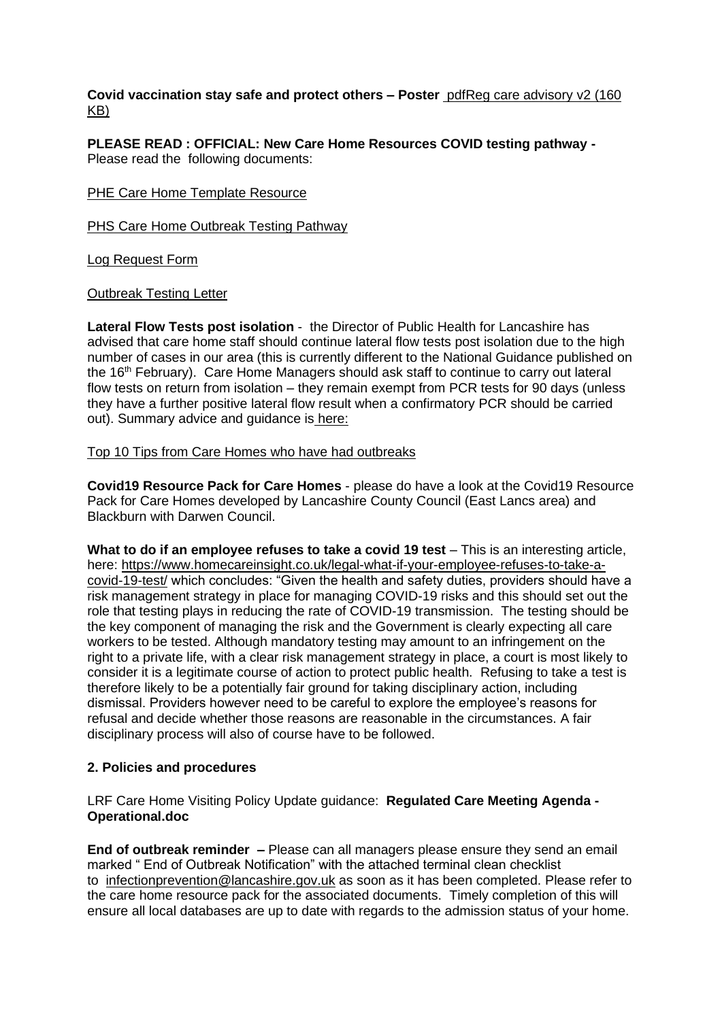**Covid vaccination stay safe and protect others – Poster** [pdfReg care advisory v2](https://eastlancsccg.nhs.uk/about-us/publications/2796-reg-care-advisory-v2) (160 [KB\)](https://eastlancsccg.nhs.uk/about-us/publications/2796-reg-care-advisory-v2)

**PLEASE READ : OFFICIAL: New Care Home Resources COVID testing pathway -** Please read the following documents:

#### [PHE Care Home Template Resource](https://eastlancsccg.nhs.uk/images/PHE_NW_ARI_Care_Home_Template_Resource_v2.1_18022021.pptx)

[PHS Care Home Outbreak Testing Pathway](https://eastlancsccg.nhs.uk/images/PHE_NW_ARI_Care_Home_Outbreak_Testing_Pathway_v1.6_19022021.pdf)

[Log Request Form](https://eastlancsccg.nhs.uk/images/ILog_Request_Form_v10.docx)

[Outbreak Testing Letter](https://eastlancsccg.nhs.uk/images/Outbreak_testing_letter_16_Feb.pdf)

**Lateral Flow Tests post isolation** - the Director of Public Health for Lancashire has advised that care home staff should continue lateral flow tests post isolation due to the high number of cases in our area (this is currently different to the National Guidance published on the 16<sup>th</sup> February). Care Home Managers should ask staff to continue to carry out lateral flow tests on return from isolation – they remain exempt from PCR tests for 90 days (unless they have a further positive lateral flow result when a confirmatory PCR should be carried out). Summary advice and guidance is [here:](https://eastlancsccg.nhs.uk/images/DPHAdvice_LFD_care.docx)

#### [Top 10 Tips from Care Homes who have had outbreaks](https://eastlancsccg.nhs.uk/images/RegulatedCareSector/Top_ten_tips.docx)

**[Covid19 Resource Pack for Care Homes](https://www.lancashire.gov.uk/practitioners/health-and-social-care/care-service-provider-engagement/coronavirus-covid-19-information-for-care-providers/residential-and-nursing-care/)** - please do have a look at the Covid19 Resource Pack for Care Homes developed by Lancashire County Council (East Lancs area) and Blackburn with Darwen Council.

**What to do if an employee refuses to take a covid 19 test** – This is an interesting article, here: [https://www.homecareinsight.co.uk/legal-what-if-your-employee-refuses-to-take-a](https://www.homecareinsight.co.uk/legal-what-if-your-employee-refuses-to-take-a-covid-19-test/)[covid-19-test/](https://www.homecareinsight.co.uk/legal-what-if-your-employee-refuses-to-take-a-covid-19-test/) which concludes: "Given the health and safety duties, providers should have a risk management strategy in place for managing COVID-19 risks and this should set out the role that testing plays in reducing the rate of COVID-19 transmission. The testing should be the key component of managing the risk and the Government is clearly expecting all care workers to be tested. Although mandatory testing may amount to an infringement on the right to a private life, with a clear risk management strategy in place, a court is most likely to consider it is a legitimate course of action to protect public health. Refusing to take a test is therefore likely to be a potentially fair ground for taking disciplinary action, including dismissal. Providers however need to be careful to explore the employee's reasons for refusal and decide whether those reasons are reasonable in the circumstances. A fair disciplinary process will also of course have to be followed.

# **2. Policies and procedures**

# LRF Care Home Visiting Policy Update guidance: **[Regulated Care Meeting Agenda -](https://eastlancsccg.nhs.uk/images/RegulatedCareSector/2021_03_09_Regulated_Care_Meeting_Agenda_-_Operational.doc.docx) [Operational.doc](https://eastlancsccg.nhs.uk/images/RegulatedCareSector/2021_03_09_Regulated_Care_Meeting_Agenda_-_Operational.doc.docx)**

**End of outbreak reminder –** Please can all managers please ensure they send an email marked " End of Outbreak Notification" with the attached terminal clean checklist to [infectionprevention@lancashire.gov.uk](mailto:infectionprevention@lancashire.gov.uk) as soon as it has been completed. Please refer to the care home resource pack for the associated documents. Timely completion of this will ensure all local databases are up to date with regards to the admission status of your home.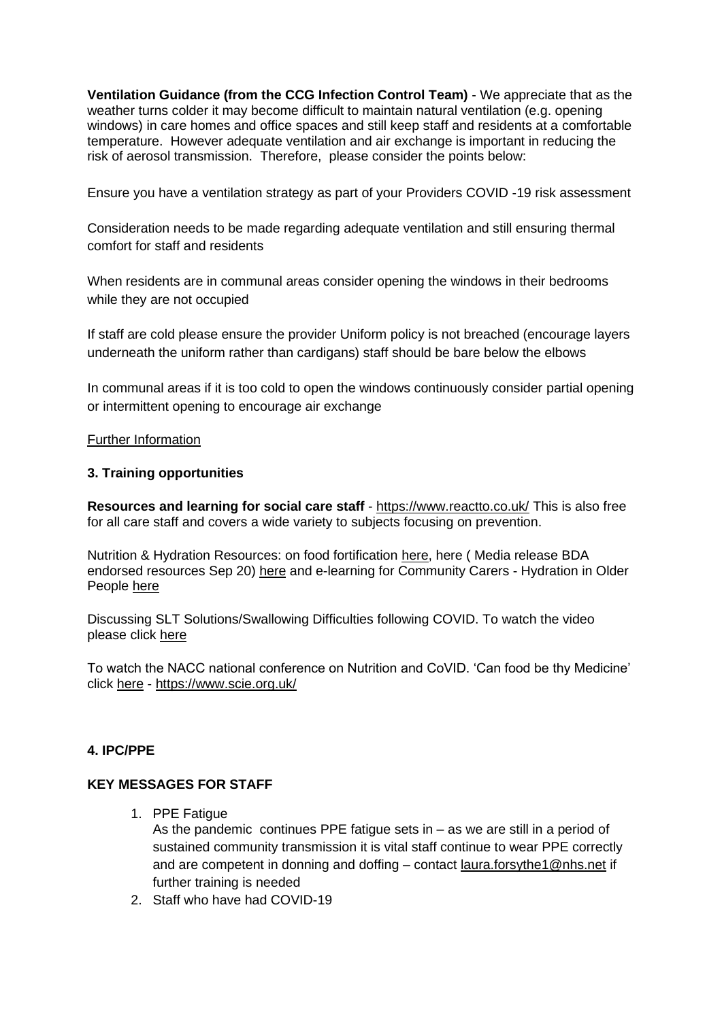**Ventilation Guidance (from the CCG Infection Control Team)** - We appreciate that as the weather turns colder it may become difficult to maintain natural ventilation (e.g. opening windows) in care homes and office spaces and still keep staff and residents at a comfortable temperature. However adequate ventilation and air exchange is important in reducing the risk of aerosol transmission. Therefore, please consider the points below:

Ensure you have a ventilation strategy as part of your Providers COVID -19 risk assessment

Consideration needs to be made regarding adequate ventilation and still ensuring thermal comfort for staff and residents

When residents are in communal areas consider opening the windows in their bedrooms while they are not occupied

If staff are cold please ensure the provider Uniform policy is not breached (encourage layers underneath the uniform rather than cardigans) staff should be bare below the elbows

In communal areas if it is too cold to open the windows continuously consider partial opening or intermittent opening to encourage air exchange

# [Further Information](https://assets.publishing.service.gov.uk/government/uploads/system/uploads/attachment_data/file/928720/S0789_EMG_Role_of_Ventilation_in_Controlling_SARS-CoV-2_Transmission.pdf)

# **3. Training opportunities**

**Resources and learning for social care staff** - <https://www.reactto.co.uk/> This is also free for all care staff and covers a wide variety to subjects focusing on prevention.

Nutrition & Hydration Resources: on food fortification [here,](file:///C:/Users/libby.horsfield/AppData/Local/Microsoft/Windows/INetCache/Content.Outlook/JPBAACMK/images/Food_Fortification.pdf) here ( Media release BDA endorsed resources Sep 20) [here](file:///C:/Users/libby.horsfield/AppData/Local/Microsoft/Windows/INetCache/Content.Outlook/JPBAACMK/images/Media_release_BDA_endorsed_resources_Sep_20.docx) and e-learning for Community Carers - Hydration in Older People [here](file:///C:/Users/libby.horsfield/AppData/Local/Microsoft/Windows/INetCache/Content.Outlook/JPBAACMK/images/e-learning_for_Community_Carers_-_Hydration_in_Older_People.docx)

Discussing SLT Solutions/Swallowing Difficulties following COVID. To watch the video please click [here](https://bit.ly/2G8VuhL)

To watch the NACC national conference on Nutrition and CoVID. 'Can food be thy Medicine' click [here](https://bit.ly/2TnSmkZ) - <https://www.scie.org.uk/>

# **4. IPC/PPE**

# **KEY MESSAGES FOR STAFF**

1. PPE Fatigue

As the pandemic continues PPE fatigue sets in – as we are still in a period of sustained community transmission it is vital staff continue to wear PPE correctly and are competent in donning and doffing – contact [laura.forsythe1@nhs.net](mailto:laura.forsythe1@nhs.net) if further training is needed

2. Staff who have had COVID-19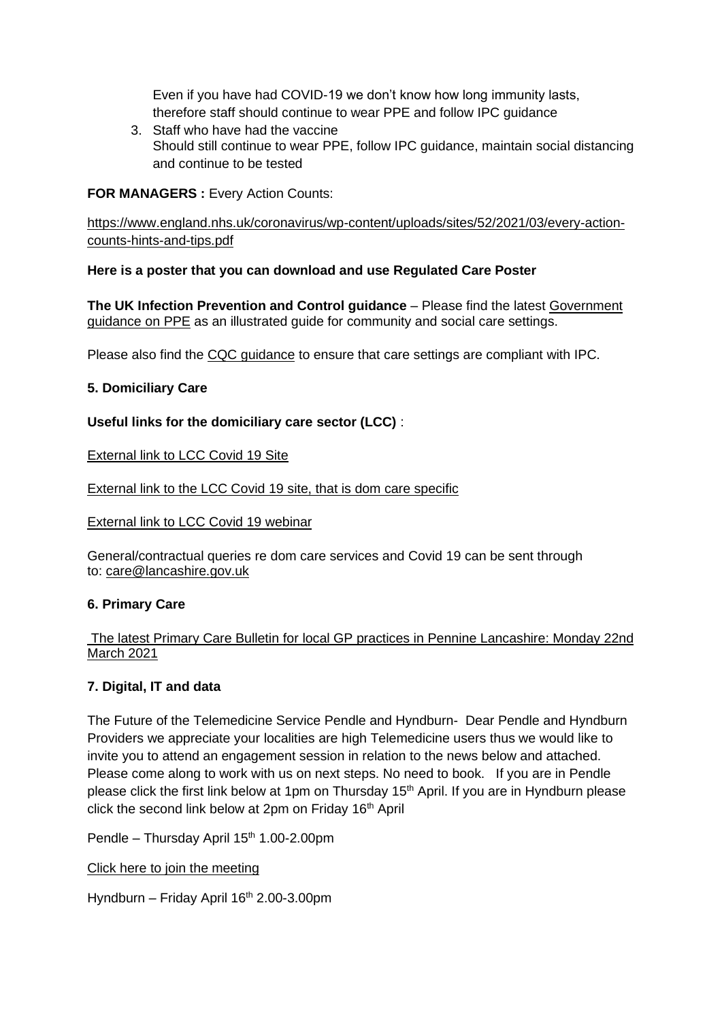Even if you have had COVID-19 we don't know how long immunity lasts, therefore staff should continue to wear PPE and follow IPC guidance

3. Staff who have had the vaccine Should still continue to wear PPE, follow IPC guidance, maintain social distancing and continue to be tested

**FOR MANAGERS : Every Action Counts:** 

[https://www.england.nhs.uk/coronavirus/wp-content/uploads/sites/52/2021/03/every-action](https://www.england.nhs.uk/coronavirus/wp-content/uploads/sites/52/2021/03/every-action-counts-hints-and-tips.pdf)[counts-hints-and-tips.pdf](https://www.england.nhs.uk/coronavirus/wp-content/uploads/sites/52/2021/03/every-action-counts-hints-and-tips.pdf)

**Here is a poster that you can download and use Regulated Care Poster**

**[The UK Infection Prevention and Control guidance](https://www.gov.uk/government/publications/wuhan-novel-coronavirus-infection-prevention-and-control)** – Please find the latest [Government](https://www.gov.uk/government/publications/personal-protective-equipment-ppe-illustrated-guide-for-community-and-social-care-settings)  [guidance on PPE](https://www.gov.uk/government/publications/personal-protective-equipment-ppe-illustrated-guide-for-community-and-social-care-settings) as an illustrated guide for community and social care settings.

Please also find the [CQC guidance](https://www.cqc.org.uk/guidance-providers/residential-adult-social-care/infection-prevention-control-care-homes) to ensure that care settings are compliant with IPC.

# **5. Domiciliary Care**

**Useful links for the domiciliary care sector (LCC)** :

[External link to LCC Covid 19 Site](https://www.lancashire.gov.uk/practitioners/health-and-social-care/care-service-provider-engagement/coronavirus-covid-19-information-for-care-providers/)

[External link to the LCC Covid 19 site, that is dom care specific](https://www.lancashire.gov.uk/practitioners/health-and-social-care/care-service-provider-engagement/coronavirus-covid-19-information-for-care-providers/home-care/)

[External link to LCC Covid 19 webinar](https://www.lancashire.gov.uk/practitioners/health-and-social-care/care-service-provider-engagement/coronavirus-covid-19-information-for-care-providers/local-communications-to-providers-and-service-users/covid-19-provider-engagement-webinars/)

General/contractual queries re dom care services and Covid 19 can be sent through to: [care@lancashire.gov.uk](mailto:care@lancashire.gov.uk)

# **6. Primary Care**

The latest Primary Care Bulletin [for local GP practices in Pennine Lancashire: Monday 22nd](https://eastlancsccg.nhs.uk/images/20210319_Primary_Care_Briefing_from_Dr_M_Dziobon_No_184_for_circulation.pdf)  [March 2021](https://eastlancsccg.nhs.uk/images/20210319_Primary_Care_Briefing_from_Dr_M_Dziobon_No_184_for_circulation.pdf)

# **7. Digital, IT and data**

The Future of the Telemedicine Service Pendle and Hyndburn- Dear Pendle and Hyndburn Providers we appreciate your localities are high Telemedicine users thus we would like to invite you to attend an engagement session in relation to the news below and attached. Please come along to work with us on next steps. No need to book. If you are in Pendle please click the first link below at 1pm on Thursday 15<sup>th</sup> April. If you are in Hyndburn please click the second link below at  $2<sub>pm</sub>$  on Friday 16<sup>th</sup> April

Pendle – Thursday April 15<sup>th</sup> 1.00-2.00pm

[Click here to join the meeting](https://teams.microsoft.com/l/meetup-join/19%3ameeting_NDdjNWJhODItOTA3NS00ZDliLWEwNTgtMDEzYTI5MmRlZTI2%40thread.v2/0?context=%7b%22Tid%22%3a%2237c354b2-85b0-47f5-b222-07b48d774ee3%22%2c%22Oid%22%3a%22a2ec35af-1c40-4f8f-8903-a088b26ed2a2%22%7d)

Hyndburn – Friday April  $16<sup>th</sup> 2.00-3.00$ pm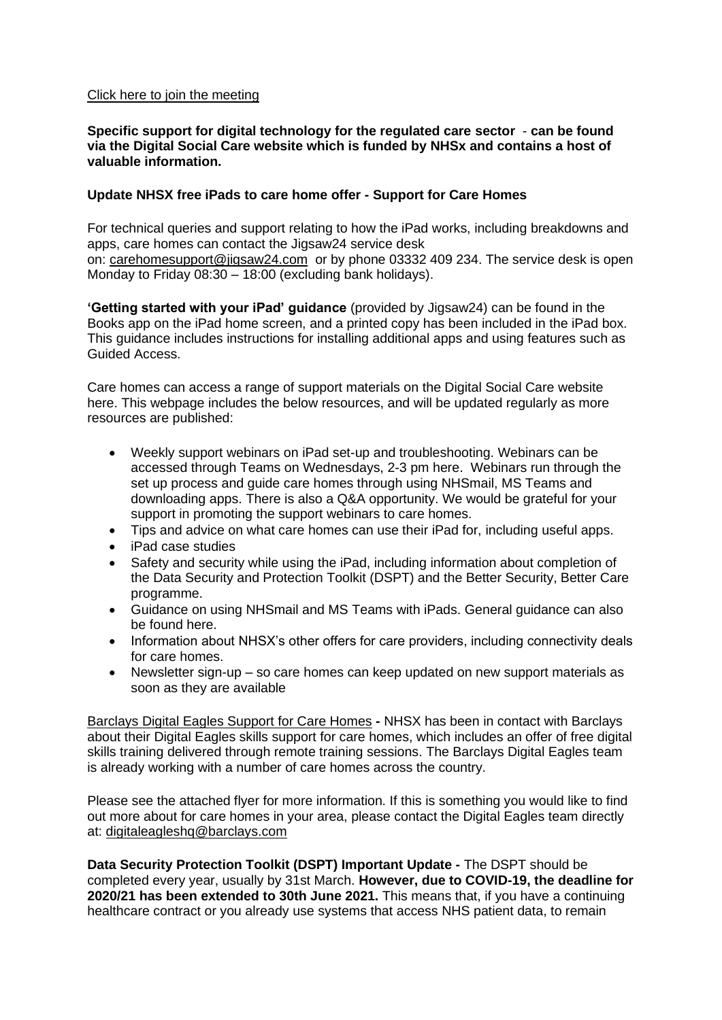#### [Click here to join the meeting](https://teams.microsoft.com/l/meetup-join/19%3ameeting_N2NjNDY5NjktNThlNC00NjhiLWFmODktYmQ0Y2FkZjYyNzgw%40thread.v2/0?context=%7b%22Tid%22%3a%2237c354b2-85b0-47f5-b222-07b48d774ee3%22%2c%22Oid%22%3a%22a2ec35af-1c40-4f8f-8903-a088b26ed2a2%22%7d)

#### **[Specific support for digital technology for the regulated care sector](https://www.digitalsocialcare.co.uk/)** - **can be found via the Digital Social Care website which is funded by NHSx and contains a host of valuable information.**

# **Update NHSX free iPads to care home offer - Support for Care Homes**

For technical queries and support relating to how the iPad works, including breakdowns and apps, care homes can contact the Jigsaw24 service desk on: [carehomesupport@jigsaw24.com](mailto:carehomesupport@jigsaw24.com) or by phone 03332 409 234. The service desk is open Monday to Friday 08:30 – 18:00 (excluding bank holidays).

**['Getting started with your iPad' guidance](https://eastlancsccg.nhs.uk/images/jigsaw24_CareHome_ipad_guide.pdf)** (provided by Jigsaw24) can be found in the Books app on the iPad home screen, and a printed copy has been included in the iPad box. This guidance includes instructions for installing additional apps and using features such as Guided Access.

Care homes can access a range of support materials on the Digital Social Care website here. This webpage includes the below resources, and will be updated regularly as more resources are published:

- Weekly support webinars on iPad set-up and troubleshooting. Webinars can be accessed through Teams on Wednesdays, 2-3 pm here. Webinars run through the set up process and quide care homes through using NHSmail, MS Teams and downloading apps. There is also a Q&A opportunity. We would be grateful for your support in promoting the support webinars to care homes.
- Tips and advice on what care homes can use their iPad for, including useful apps.
- iPad case studies
- Safety and security while using the iPad, including information about completion of the Data Security and Protection Toolkit (DSPT) and the Better Security, Better Care programme.
- Guidance on using NHSmail and MS Teams with iPads. General guidance can also be found here.
- Information about NHSX's other offers for care providers, including connectivity deals for care homes.
- Newsletter sign-up so care homes can keep updated on new support materials as soon as they are available

[Barclays Digital Eagles Support for Care Homes](https://eastlancsccg.nhs.uk/images/Barclays_Digital_Eagles_Care_Home_Flyer.pdf) **-** NHSX has been in contact with Barclays about their Digital Eagles skills support for care homes, which includes an offer of free digital skills training delivered through remote training sessions. The Barclays Digital Eagles team is already working with a number of care homes across the country.

Please see the attached flyer for more information. If this is something you would like to find out more about for care homes in your area, please contact the Digital Eagles team directly at: [digitaleagleshq@barclays.com](mailto:digitaleagleshq@barclays.com)

**Data Security Protection Toolkit (DSPT) Important Update -** The DSPT should be completed every year, usually by 31st March. **However, due to COVID-19, the deadline for 2020/21 has been extended to 30th June 2021.** This means that, if you have a continuing healthcare contract or you already use systems that access NHS patient data, to remain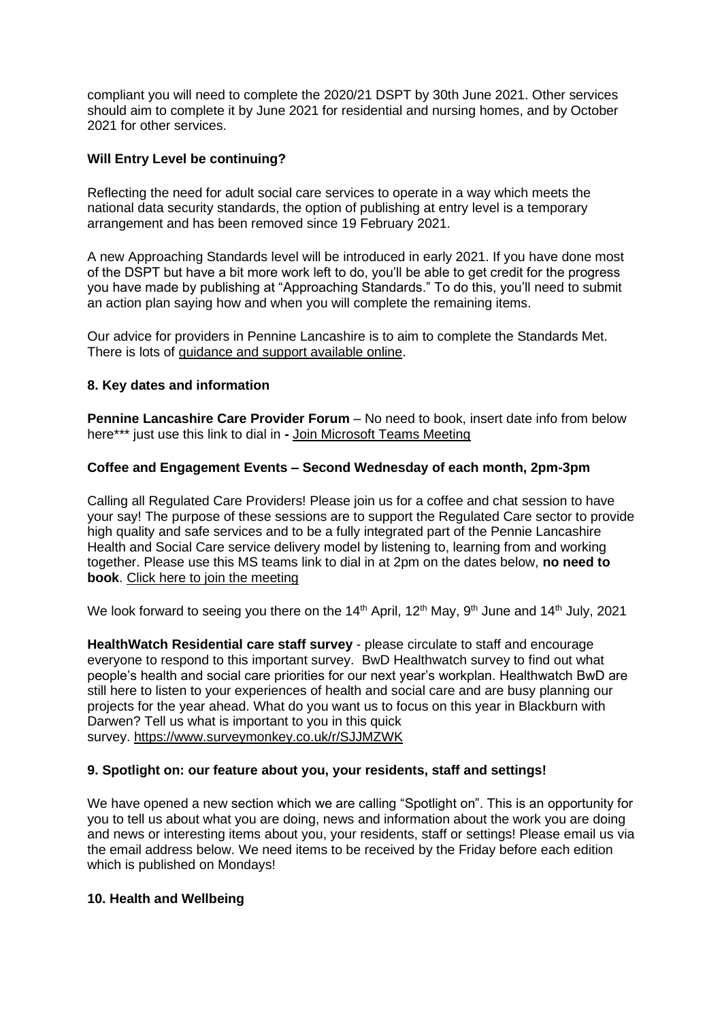compliant you will need to complete the 2020/21 DSPT by 30th June 2021. Other services should aim to complete it by June 2021 for residential and nursing homes, and by October 2021 for other services.

# **Will Entry Level be continuing?**

Reflecting the need for adult social care services to operate in a way which meets the national data security standards, the option of publishing at entry level is a temporary arrangement and has been removed since 19 February 2021.

A new Approaching Standards level will be introduced in early 2021. If you have done most of the DSPT but have a bit more work left to do, you'll be able to get credit for the progress you have made by publishing at "Approaching Standards." To do this, you'll need to submit an action plan saying how and when you will complete the remaining items.

Our advice for providers in Pennine Lancashire is to aim to complete the Standards Met. There is lots of [guidance and support available online.](https://www.digitalsocialcare.co.uk/data-security-protecting-my-information/data-security-and-protection-toolkit/)

# **8. Key dates and information**

**Pennine Lancashire Care Provider Forum** – No need to book, insert date info from below here\*\*\* just use this link to dial in **-** [Join Microsoft Teams Meeting](https://teams.microsoft.com/l/meetup-join/19%3ameeting_OWE0ZjdiNjUtNTRmZC00YzE2LWFhMjYtYjk2MGRhOTQ5NTEw%40thread.v2/0?context=%7b%22Tid%22%3a%2237c354b2-85b0-47f5-b222-07b48d774ee3%22%2c%22Oid%22%3a%226ae1fd49-b6bd-4e18-8c59-b3f5992aa6e2%22%7d)

# **Coffee and Engagement Events – Second Wednesday of each month, 2pm-3pm**

Calling all Regulated Care Providers! Please join us for a coffee and chat session to have your say! The purpose of these sessions are to support the Regulated Care sector to provide high quality and safe services and to be a fully integrated part of the Pennie Lancashire Health and Social Care service delivery model by listening to, learning from and working together. Please use this MS teams link to dial in at 2pm on the dates below, **no need to book**. [Click here to join the meeting](https://teams.microsoft.com/l/meetup-join/19%3ameeting_NjkxOTI3M2MtMzdlNC00MDliLWFhMjgtZmZiZjMzZGI5OTkw%40thread.v2/0?context=%7b%22Tid%22%3a%2237c354b2-85b0-47f5-b222-07b48d774ee3%22%2c%22Oid%22%3a%22a2ec35af-1c40-4f8f-8903-a088b26ed2a2%22%7d)

We look forward to seeing you there on the 14<sup>th</sup> April, 12<sup>th</sup> May, 9<sup>th</sup> June and 14<sup>th</sup> July, 2021

**[HealthWatch Residential care staff survey](https://www.surveymonkey.co.uk/r/F37VV7N)** - please circulate to staff and encourage everyone to respond to this important survey. BwD Healthwatch survey to find out what people's health and social care priorities for our next year's workplan. Healthwatch BwD are still here to listen to your experiences of health and social care and are busy planning our projects for the year ahead. What do you want us to focus on this year in Blackburn with Darwen? Tell us what is important to you in this quick survey. <https://www.surveymonkey.co.uk/r/SJJMZWK>

# **9. Spotlight on: our feature about you, your residents, staff and settings!**

We have opened a new section which we are calling "Spotlight on". This is an opportunity for you to tell us about what you are doing, news and information about the work you are doing and news or interesting items about you, your residents, staff or settings! Please email us via the email address below. We need items to be received by the Friday before each edition which is published on Mondays!

# **10. Health and Wellbeing**